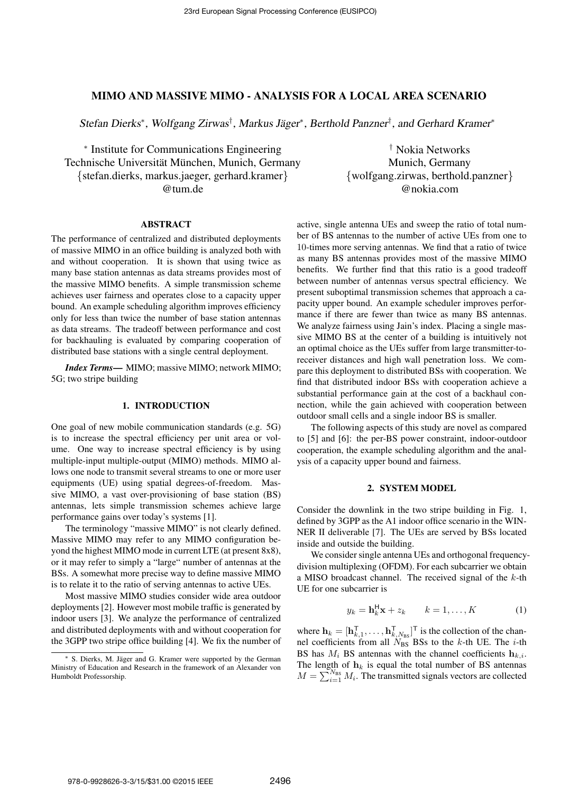# MIMO AND MASSIVE MIMO - ANALYSIS FOR A LOCAL AREA SCENARIO

Stefan Dierks\*, Wolfgang Zirwas<sup>†</sup>, Markus Jäger\*, Berthold Panzner<sup>†</sup>, and Gerhard Kramer\*

∗ Institute for Communications Engineering Technische Universität München, Munich, Germany {stefan.dierks, markus.jaeger, gerhard.kramer} @tum.de

† Nokia Networks Munich, Germany {wolfgang.zirwas, berthold.panzner} @nokia.com

#### ABSTRACT

The performance of centralized and distributed deployments of massive MIMO in an office building is analyzed both with and without cooperation. It is shown that using twice as many base station antennas as data streams provides most of the massive MIMO benefits. A simple transmission scheme achieves user fairness and operates close to a capacity upper bound. An example scheduling algorithm improves efficiency only for less than twice the number of base station antennas as data streams. The tradeoff between performance and cost for backhauling is evaluated by comparing cooperation of distributed base stations with a single central deployment.

*Index Terms*— MIMO; massive MIMO; network MIMO; 5G; two stripe building

# 1. INTRODUCTION

One goal of new mobile communication standards (e.g. 5G) is to increase the spectral efficiency per unit area or volume. One way to increase spectral efficiency is by using multiple-input multiple-output (MIMO) methods. MIMO allows one node to transmit several streams to one or more user equipments (UE) using spatial degrees-of-freedom. Massive MIMO, a vast over-provisioning of base station (BS) antennas, lets simple transmission schemes achieve large performance gains over today's systems [1].

The terminology "massive MIMO" is not clearly defined. Massive MIMO may refer to any MIMO configuration beyond the highest MIMO mode in current LTE (at present 8x8), or it may refer to simply a "large" number of antennas at the BSs. A somewhat more precise way to define massive MIMO is to relate it to the ratio of serving antennas to active UEs.

Most massive MIMO studies consider wide area outdoor deployments [2]. However most mobile traffic is generated by indoor users [3]. We analyze the performance of centralized and distributed deployments with and without cooperation for the 3GPP two stripe office building [4]. We fix the number of

active, single antenna UEs and sweep the ratio of total number of BS antennas to the number of active UEs from one to 10-times more serving antennas. We find that a ratio of twice as many BS antennas provides most of the massive MIMO benefits. We further find that this ratio is a good tradeoff between number of antennas versus spectral efficiency. We present suboptimal transmission schemes that approach a capacity upper bound. An example scheduler improves performance if there are fewer than twice as many BS antennas. We analyze fairness using Jain's index. Placing a single massive MIMO BS at the center of a building is intuitively not an optimal choice as the UEs suffer from large transmitter-toreceiver distances and high wall penetration loss. We compare this deployment to distributed BSs with cooperation. We find that distributed indoor BSs with cooperation achieve a substantial performance gain at the cost of a backhaul connection, while the gain achieved with cooperation between outdoor small cells and a single indoor BS is smaller.

The following aspects of this study are novel as compared to [5] and [6]: the per-BS power constraint, indoor-outdoor cooperation, the example scheduling algorithm and the analysis of a capacity upper bound and fairness.

#### 2. SYSTEM MODEL

Consider the downlink in the two stripe building in Fig. 1, defined by 3GPP as the A1 indoor office scenario in the WIN-NER II deliverable [7]. The UEs are served by BSs located inside and outside the building.

We consider single antenna UEs and orthogonal frequencydivision multiplexing (OFDM). For each subcarrier we obtain a MISO broadcast channel. The received signal of the  $k$ -th UE for one subcarrier is

$$
y_k = \mathbf{h}_k^H \mathbf{x} + z_k \qquad k = 1, \dots, K \tag{1}
$$

where  $\mathbf{h}_k = [\mathbf{h}_{k,1}^{\mathsf{T}}, \dots, \mathbf{h}_{k,N_{\text{BS}}}^{\mathsf{T}}]^{\mathsf{T}}$  is the collection of the channel coefficients from all  $N_{\text{BS}}$  BSs to the k-th UE. The *i*-th BS has  $M_i$  BS antennas with the channel coefficients  $\mathbf{h}_{k,i}$ . The length of  $h_k$  is equal the total number of BS antennas  $M = \sum_{i=1}^{N_{\text{BS}}} M_i$ . The transmitted signals vectors are collected

<sup>∗</sup> S. Dierks, M. Jager and G. Kramer were supported by the German ¨ Ministry of Education and Research in the framework of an Alexander von Humboldt Professorship.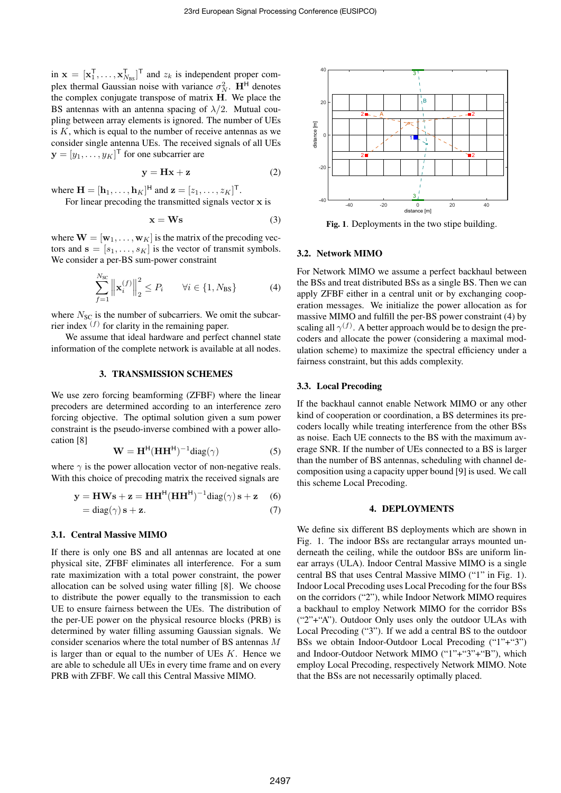in  $\mathbf{x} = [\mathbf{x}_1^{\mathsf{T}}, \dots, \mathbf{x}_{N_{\text{BS}}}^{\mathsf{T}}]^{\mathsf{T}}$  and  $z_k$  is independent proper complex thermal Gaussian noise with variance  $\sigma_N^2$ .  $\mathbf{H}^H$  denotes the complex conjugate transpose of matrix H. We place the BS antennas with an antenna spacing of  $\lambda/2$ . Mutual coupling between array elements is ignored. The number of UEs is  $K$ , which is equal to the number of receive antennas as we consider single antenna UEs. The received signals of all UEs  $\mathbf{y} = [y_1, \dots, y_K]^\mathsf{T}$  for one subcarrier are

$$
y = Hx + z \tag{2}
$$

where  $\mathbf{H} = [\mathbf{h}_1, \dots, \mathbf{h}_K]^{\mathsf{H}}$  and  $\mathbf{z} = [z_1, \dots, z_K]^{\mathsf{T}}$ .

For linear precoding the transmitted signals vector  $x$  is

$$
x = Ws \tag{3}
$$

where  $\mathbf{W} = [\mathbf{w}_1, \dots, \mathbf{w}_K]$  is the matrix of the precoding vectors and  $\mathbf{s} = [s_1, \dots, s_K]$  is the vector of transmit symbols. We consider a per-BS sum-power constraint

$$
\sum_{f=1}^{N_{\rm SC}} \left\| \mathbf{x}_i^{(f)} \right\|_2^2 \le P_i \qquad \forall i \in \{1, N_{\rm BS}\} \tag{4}
$$

where  $N<sub>SC</sub>$  is the number of subcarriers. We omit the subcarrier index  $(f)$  for clarity in the remaining paper.

We assume that ideal hardware and perfect channel state information of the complete network is available at all nodes.

#### 3. TRANSMISSION SCHEMES

We use zero forcing beamforming (ZFBF) where the linear precoders are determined according to an interference zero forcing objective. The optimal solution given a sum power constraint is the pseudo-inverse combined with a power allocation [8]

$$
\mathbf{W} = \mathbf{H}^{\mathsf{H}} (\mathbf{H} \mathbf{H}^{\mathsf{H}})^{-1} \text{diag}(\gamma) \tag{5}
$$

where  $\gamma$  is the power allocation vector of non-negative reals. With this choice of precoding matrix the received signals are

$$
y = HWs + z = HHH(HHH)-1diag(\gamma)s + z
$$
 (6)

$$
= diag(\gamma) s + z.
$$
 (7)

### 3.1. Central Massive MIMO

If there is only one BS and all antennas are located at one physical site, ZFBF eliminates all interference. For a sum rate maximization with a total power constraint, the power allocation can be solved using water filling [8]. We choose to distribute the power equally to the transmission to each UE to ensure fairness between the UEs. The distribution of the per-UE power on the physical resource blocks (PRB) is determined by water filling assuming Gaussian signals. We consider scenarios where the total number of BS antennas M is larger than or equal to the number of UEs  $K$ . Hence we are able to schedule all UEs in every time frame and on every PRB with ZFBF. We call this Central Massive MIMO.



Fig. 1. Deployments in the two stipe building.

#### 3.2. Network MIMO

For Network MIMO we assume a perfect backhaul between the BSs and treat distributed BSs as a single BS. Then we can apply ZFBF either in a central unit or by exchanging cooperation messages. We initialize the power allocation as for massive MIMO and fulfill the per-BS power constraint (4) by scaling all  $\gamma^{(f)}$ . A better approach would be to design the precoders and allocate the power (considering a maximal modulation scheme) to maximize the spectral efficiency under a fairness constraint, but this adds complexity.

# 3.3. Local Precoding

If the backhaul cannot enable Network MIMO or any other kind of cooperation or coordination, a BS determines its precoders locally while treating interference from the other BSs as noise. Each UE connects to the BS with the maximum average SNR. If the number of UEs connected to a BS is larger than the number of BS antennas, scheduling with channel decomposition using a capacity upper bound [9] is used. We call this scheme Local Precoding.

## 4. DEPLOYMENTS

We define six different BS deployments which are shown in Fig. 1. The indoor BSs are rectangular arrays mounted underneath the ceiling, while the outdoor BSs are uniform linear arrays (ULA). Indoor Central Massive MIMO is a single central BS that uses Central Massive MIMO ("1" in Fig. 1). Indoor Local Precoding uses Local Precoding for the four BSs on the corridors ("2"), while Indoor Network MIMO requires a backhaul to employ Network MIMO for the corridor BSs ("2"+"A"). Outdoor Only uses only the outdoor ULAs with Local Precoding ("3"). If we add a central BS to the outdoor BSs we obtain Indoor-Outdoor Local Precoding ("1"+"3") and Indoor-Outdoor Network MIMO ("1"+"3"+"B"), which employ Local Precoding, respectively Network MIMO. Note that the BSs are not necessarily optimally placed.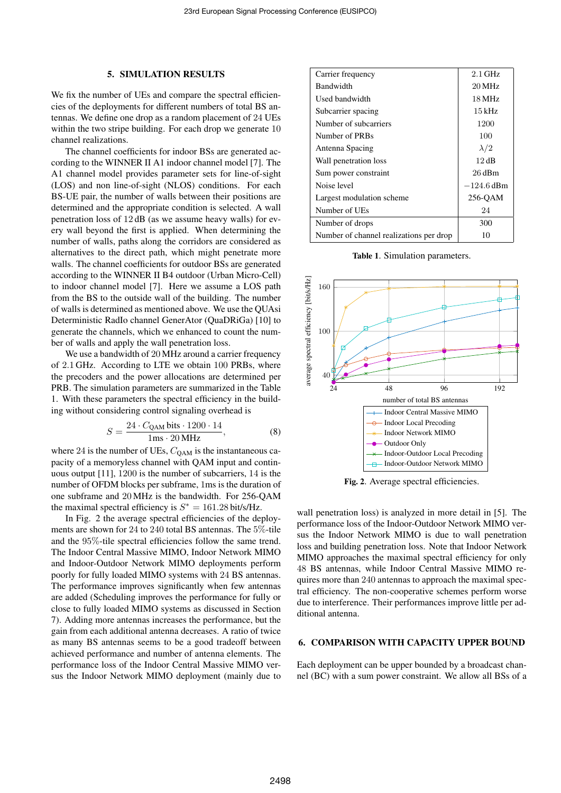#### 5. SIMULATION RESULTS

We fix the number of UEs and compare the spectral efficiencies of the deployments for different numbers of total BS antennas. We define one drop as a random placement of 24 UEs within the two stripe building. For each drop we generate 10 channel realizations.

The channel coefficients for indoor BSs are generated according to the WINNER II A1 indoor channel model [7]. The A1 channel model provides parameter sets for line-of-sight (LOS) and non line-of-sight (NLOS) conditions. For each BS-UE pair, the number of walls between their positions are determined and the appropriate condition is selected. A wall penetration loss of 12 dB (as we assume heavy walls) for every wall beyond the first is applied. When determining the number of walls, paths along the corridors are considered as alternatives to the direct path, which might penetrate more walls. The channel coefficients for outdoor BSs are generated according to the WINNER II B4 outdoor (Urban Micro-Cell) to indoor channel model [7]. Here we assume a LOS path from the BS to the outside wall of the building. The number of walls is determined as mentioned above. We use the QUAsi Deterministic RadIo channel GenerAtor (QuaDRiGa) [10] to generate the channels, which we enhanced to count the number of walls and apply the wall penetration loss.

We use a bandwidth of 20 MHz around a carrier frequency of 2.1 GHz. According to LTE we obtain 100 PRBs, where the precoders and the power allocations are determined per PRB. The simulation parameters are summarized in the Table 1. With these parameters the spectral efficiency in the building without considering control signaling overhead is

$$
S = \frac{24 \cdot C_{\text{QAM}} \text{ bits} \cdot 1200 \cdot 14}{1 \text{ ms} \cdot 20 \text{ MHz}},
$$
 (8)

where 24 is the number of UEs,  $C_{\text{OAM}}$  is the instantaneous capacity of a memoryless channel with QAM input and continuous output [11], 1200 is the number of subcarriers, 14 is the number of OFDM blocks per subframe, 1ms is the duration of one subframe and 20 MHz is the bandwidth. For 256-QAM the maximal spectral efficiency is  $S^* = 161.28$  bit/s/Hz.

In Fig. 2 the average spectral efficiencies of the deployments are shown for 24 to 240 total BS antennas. The 5%-tile and the 95%-tile spectral efficiencies follow the same trend. The Indoor Central Massive MIMO, Indoor Network MIMO and Indoor-Outdoor Network MIMO deployments perform poorly for fully loaded MIMO systems with 24 BS antennas. The performance improves significantly when few antennas are added (Scheduling improves the performance for fully or close to fully loaded MIMO systems as discussed in Section 7). Adding more antennas increases the performance, but the gain from each additional antenna decreases. A ratio of twice as many BS antennas seems to be a good tradeoff between achieved performance and number of antenna elements. The performance loss of the Indoor Central Massive MIMO versus the Indoor Network MIMO deployment (mainly due to

| Carrier frequency                       | $2.1$ GHz    |
|-----------------------------------------|--------------|
| <b>Bandwidth</b>                        | 20 MHz       |
| Used bandwidth                          | 18 MHz       |
| Subcarrier spacing                      | $15$ kHz     |
| Number of subcarriers                   | 1200         |
| Number of PRBs                          | 100          |
| Antenna Spacing                         | $\lambda/2$  |
| Wall penetration loss                   | 12 dB        |
| Sum power constraint                    | $26$ dBm     |
| Noise level                             | $-124.6$ dBm |
| Largest modulation scheme               | 256-QAM      |
| Number of UEs                           | 24           |
| Number of drops                         | 300          |
| Number of channel realizations per drop | 10           |

Table 1. Simulation parameters.



Fig. 2. Average spectral efficiencies.

wall penetration loss) is analyzed in more detail in [5]. The performance loss of the Indoor-Outdoor Network MIMO versus the Indoor Network MIMO is due to wall penetration loss and building penetration loss. Note that Indoor Network MIMO approaches the maximal spectral efficiency for only 48 BS antennas, while Indoor Central Massive MIMO requires more than 240 antennas to approach the maximal spectral efficiency. The non-cooperative schemes perform worse due to interference. Their performances improve little per additional antenna.

### 6. COMPARISON WITH CAPACITY UPPER BOUND

Each deployment can be upper bounded by a broadcast channel (BC) with a sum power constraint. We allow all BSs of a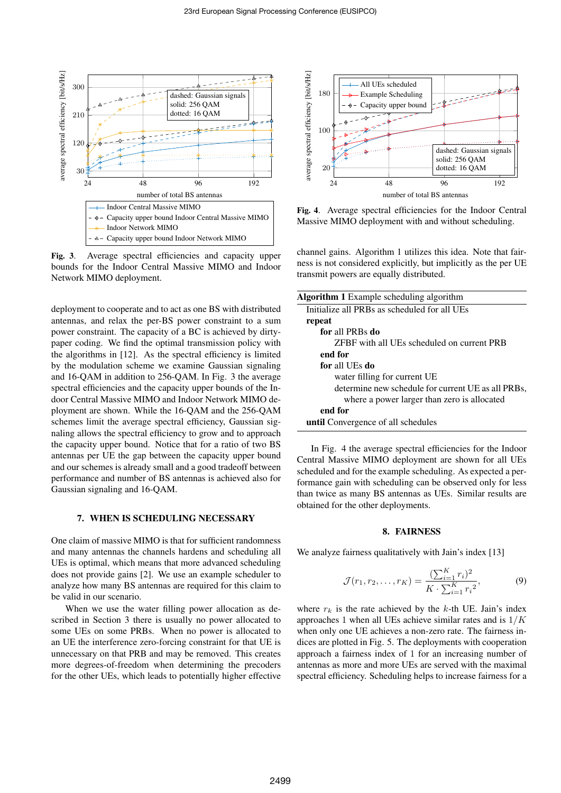

Fig. 3. Average spectral efficiencies and capacity upper bounds for the Indoor Central Massive MIMO and Indoor Network MIMO deployment.

deployment to cooperate and to act as one BS with distributed antennas, and relax the per-BS power constraint to a sum power constraint. The capacity of a BC is achieved by dirtypaper coding. We find the optimal transmission policy with the algorithms in [12]. As the spectral efficiency is limited by the modulation scheme we examine Gaussian signaling and 16-QAM in addition to 256-QAM. In Fig. 3 the average spectral efficiencies and the capacity upper bounds of the Indoor Central Massive MIMO and Indoor Network MIMO deployment are shown. While the 16-QAM and the 256-QAM schemes limit the average spectral efficiency, Gaussian signaling allows the spectral efficiency to grow and to approach the capacity upper bound. Notice that for a ratio of two BS antennas per UE the gap between the capacity upper bound and our schemes is already small and a good tradeoff between performance and number of BS antennas is achieved also for Gaussian signaling and 16-QAM.

#### 7. WHEN IS SCHEDULING NECESSARY

One claim of massive MIMO is that for sufficient randomness and many antennas the channels hardens and scheduling all UEs is optimal, which means that more advanced scheduling does not provide gains [2]. We use an example scheduler to analyze how many BS antennas are required for this claim to be valid in our scenario.

When we use the water filling power allocation as described in Section 3 there is usually no power allocated to some UEs on some PRBs. When no power is allocated to an UE the interference zero-forcing constraint for that UE is unnecessary on that PRB and may be removed. This creates more degrees-of-freedom when determining the precoders for the other UEs, which leads to potentially higher effective



Fig. 4. Average spectral efficiencies for the Indoor Central Massive MIMO deployment with and without scheduling.

channel gains. Algorithm 1 utilizes this idea. Note that fairness is not considered explicitly, but implicitly as the per UE transmit powers are equally distributed.

| <b>Algorithm 1</b> Example scheduling algorithm    |
|----------------------------------------------------|
| Initialize all PRBs as scheduled for all UEs       |
| repeat                                             |
| for all PRBs do                                    |
| ZFBF with all UEs scheduled on current PRB         |
| end for                                            |
| for all UEs do                                     |
| water filling for current UE                       |
| determine new schedule for current UE as all PRBs, |
| where a power larger than zero is allocated        |
| end for                                            |
| <b>until</b> Convergence of all schedules          |
|                                                    |

In Fig. 4 the average spectral efficiencies for the Indoor Central Massive MIMO deployment are shown for all UEs scheduled and for the example scheduling. As expected a performance gain with scheduling can be observed only for less than twice as many BS antennas as UEs. Similar results are obtained for the other deployments.

### 8. FAIRNESS

We analyze fairness qualitatively with Jain's index [13]

$$
\mathcal{J}(r_1, r_2, \dots, r_K) = \frac{(\sum_{i=1}^K r_i)^2}{K \cdot \sum_{i=1}^K r_i^2},\tag{9}
$$

where  $r_k$  is the rate achieved by the k-th UE. Jain's index approaches 1 when all UEs achieve similar rates and is  $1/K$ when only one UE achieves a non-zero rate. The fairness indices are plotted in Fig. 5. The deployments with cooperation approach a fairness index of 1 for an increasing number of antennas as more and more UEs are served with the maximal spectral efficiency. Scheduling helps to increase fairness for a